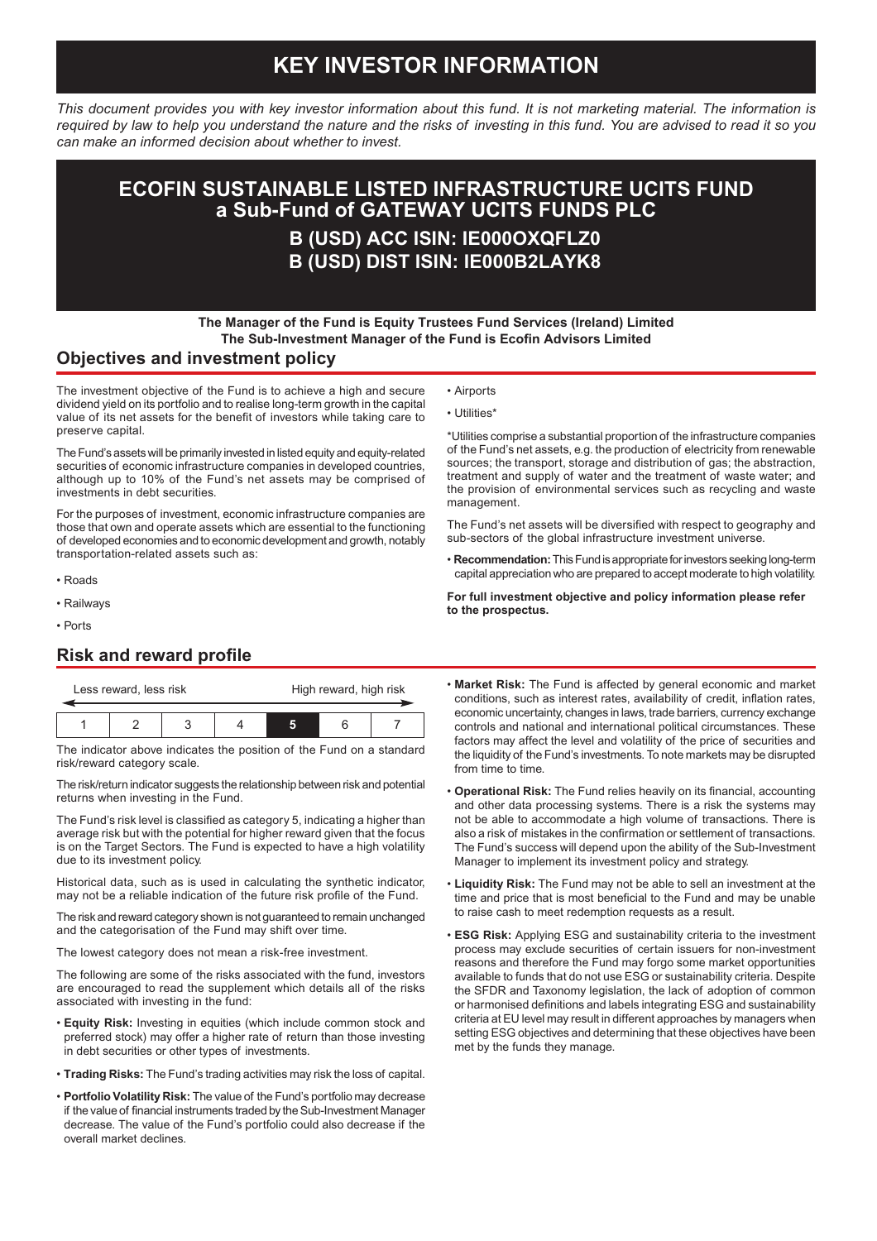# **KEY INVESTOR INFORMATION**

*This document provides you with key investor information about this fund. It is not marketing material. The information is required by law to help you understand the nature and the risks of investing in this fund. You are advised to read it so you can make an informed decision about whether to invest.*

# **ECOFIN SUSTAINABLE LISTED INFRASTRUCTURE UCITS FUND a Sub-Fund of GATEWAY UCITS FUNDS PLC**

## **B (USD) ACC ISIN: IE000OXQFLZ0 B (USD) DIST ISIN: IE000B2LAYK8**

• Airports • Utilities\*

### **The Manager of the Fund is Equity Trustees Fund Services (Ireland) Limited The Sub-Investment Manager of the Fund is Ecofin Advisors Limited**

#### **Objectives and investment policy**

The investment objective of the Fund is to achieve a high and secure dividend yield on its portfolio and to realise long-term growth in the capital value of its net assets for the benefit of investors while taking care to preserve capital.

The Fund's assets will be primarily invested in listed equity and equity-related securities of economic infrastructure companies in developed countries, although up to 10% of the Fund's net assets may be comprised of investments in debt securities.

For the purposes of investment, economic infrastructure companies are those that own and operate assets which are essential to the functioning of developed economies and to economic development and growth, notably transportation-related assets such as:

- Roads
- Railways
- Ports

### **Risk and reward profile**

| Less reward, less risk |  | High reward, high risk |  |  |
|------------------------|--|------------------------|--|--|
|                        |  |                        |  |  |
|                        |  |                        |  |  |

The indicator above indicates the position of the Fund on a standard risk/reward category scale.

The risk/return indicator suggests the relationship between risk and potential returns when investing in the Fund.

The Fund's risk level is classified as category 5, indicating a higher than average risk but with the potential for higher reward given that the focus is on the Target Sectors. The Fund is expected to have a high volatility due to its investment policy.

Historical data, such as is used in calculating the synthetic indicator, may not be a reliable indication of the future risk profile of the Fund.

The risk and reward category shown is not guaranteed to remain unchanged and the categorisation of the Fund may shift over time.

The lowest category does not mean a risk-free investment.

The following are some of the risks associated with the fund, investors are encouraged to read the supplement which details all of the risks associated with investing in the fund:

- **Equity Risk:** Investing in equities (which include common stock and preferred stock) may offer a higher rate of return than those investing in debt securities or other types of investments.
- **Trading Risks:** The Fund's trading activities may risk the loss of capital.
- **Portfolio Volatility Risk:** The value of the Fund's portfolio may decrease if the value of financial instruments traded by the Sub-Investment Manager decrease. The value of the Fund's portfolio could also decrease if the overall market declines.

\*Utilities comprise a substantial proportion of the infrastructure companies of the Fund's net assets, e.g. the production of electricity from renewable sources; the transport, storage and distribution of gas; the abstraction, treatment and supply of water and the treatment of waste water; and the provision of environmental services such as recycling and waste management.

The Fund's net assets will be diversified with respect to geography and sub-sectors of the global infrastructure investment universe.

• **Recommendation:** This Fund is appropriate for investors seeking long-term capital appreciation who are prepared to accept moderate to high volatility.

**For full investment objective and policy information please refer to the prospectus.**

- **Market Risk:** The Fund is affected by general economic and market conditions, such as interest rates, availability of credit, inflation rates, economic uncertainty, changes in laws, trade barriers, currency exchange controls and national and international political circumstances. These factors may affect the level and volatility of the price of securities and the liquidity of the Fund's investments. To note markets may be disrupted from time to time.
- **Operational Risk:** The Fund relies heavily on its financial, accounting and other data processing systems. There is a risk the systems may not be able to accommodate a high volume of transactions. There is also a risk of mistakes in the confirmation or settlement of transactions. The Fund's success will depend upon the ability of the Sub-Investment Manager to implement its investment policy and strategy.
- **Liquidity Risk:** The Fund may not be able to sell an investment at the time and price that is most beneficial to the Fund and may be unable to raise cash to meet redemption requests as a result.
- **ESG Risk:** Applying ESG and sustainability criteria to the investment process may exclude securities of certain issuers for non-investment reasons and therefore the Fund may forgo some market opportunities available to funds that do not use ESG or sustainability criteria. Despite the SFDR and Taxonomy legislation, the lack of adoption of common or harmonised definitions and labels integrating ESG and sustainability criteria at EU level may result in different approaches by managers when setting ESG objectives and determining that these objectives have been met by the funds they manage.